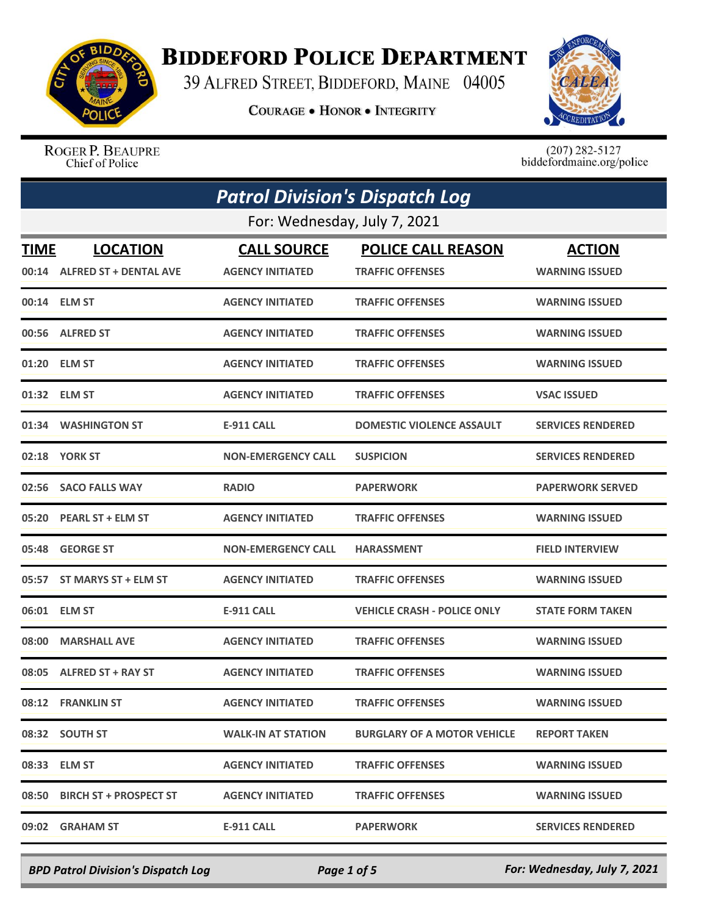

## **BIDDEFORD POLICE DEPARTMENT**

39 ALFRED STREET, BIDDEFORD, MAINE 04005

**COURAGE . HONOR . INTEGRITY** 



ROGER P. BEAUPRE Chief of Police

 $(207)$  282-5127<br>biddefordmaine.org/police

|       |                                                 | <b>Patrol Division's Dispatch Log</b>         |                                                      |                                        |
|-------|-------------------------------------------------|-----------------------------------------------|------------------------------------------------------|----------------------------------------|
|       |                                                 | For: Wednesday, July 7, 2021                  |                                                      |                                        |
| TIME  | <b>LOCATION</b><br>00:14 ALFRED ST + DENTAL AVE | <b>CALL SOURCE</b><br><b>AGENCY INITIATED</b> | <b>POLICE CALL REASON</b><br><b>TRAFFIC OFFENSES</b> | <b>ACTION</b><br><b>WARNING ISSUED</b> |
|       | 00:14 ELM ST                                    | <b>AGENCY INITIATED</b>                       | <b>TRAFFIC OFFENSES</b>                              | <b>WARNING ISSUED</b>                  |
|       | 00:56 ALFRED ST                                 | <b>AGENCY INITIATED</b>                       | <b>TRAFFIC OFFENSES</b>                              | <b>WARNING ISSUED</b>                  |
| 01:20 | <b>ELM ST</b>                                   | <b>AGENCY INITIATED</b>                       | <b>TRAFFIC OFFENSES</b>                              | <b>WARNING ISSUED</b>                  |
|       | 01:32 ELM ST                                    | <b>AGENCY INITIATED</b>                       | <b>TRAFFIC OFFENSES</b>                              | <b>VSAC ISSUED</b>                     |
| 01:34 | <b>WASHINGTON ST</b>                            | <b>E-911 CALL</b>                             | <b>DOMESTIC VIOLENCE ASSAULT</b>                     | <b>SERVICES RENDERED</b>               |
|       | 02:18 YORK ST                                   | <b>NON-EMERGENCY CALL</b>                     | <b>SUSPICION</b>                                     | <b>SERVICES RENDERED</b>               |
| 02:56 | <b>SACO FALLS WAY</b>                           | <b>RADIO</b>                                  | <b>PAPERWORK</b>                                     | <b>PAPERWORK SERVED</b>                |
| 05:20 | <b>PEARL ST + ELM ST</b>                        | <b>AGENCY INITIATED</b>                       | <b>TRAFFIC OFFENSES</b>                              | <b>WARNING ISSUED</b>                  |
| 05:48 | <b>GEORGE ST</b>                                | <b>NON-EMERGENCY CALL</b>                     | <b>HARASSMENT</b>                                    | <b>FIELD INTERVIEW</b>                 |
| 05:57 | ST MARYS ST + ELM ST                            | <b>AGENCY INITIATED</b>                       | <b>TRAFFIC OFFENSES</b>                              | <b>WARNING ISSUED</b>                  |
| 06:01 | <b>ELM ST</b>                                   | <b>E-911 CALL</b>                             | <b>VEHICLE CRASH - POLICE ONLY</b>                   | <b>STATE FORM TAKEN</b>                |
| 08:00 | <b>MARSHALL AVE</b>                             | <b>AGENCY INITIATED</b>                       | <b>TRAFFIC OFFENSES</b>                              | <b>WARNING ISSUED</b>                  |
| 08:05 | <b>ALFRED ST + RAY ST</b>                       | <b>AGENCY INITIATED</b>                       | <b>TRAFFIC OFFENSES</b>                              | <b>WARNING ISSUED</b>                  |
|       | 08:12 FRANKLIN ST                               | <b>AGENCY INITIATED</b>                       | <b>TRAFFIC OFFENSES</b>                              | <b>WARNING ISSUED</b>                  |
|       | 08:32 SOUTH ST                                  | <b>WALK-IN AT STATION</b>                     | <b>BURGLARY OF A MOTOR VEHICLE</b>                   | <b>REPORT TAKEN</b>                    |
|       | 08:33 ELM ST                                    | <b>AGENCY INITIATED</b>                       | <b>TRAFFIC OFFENSES</b>                              | <b>WARNING ISSUED</b>                  |
|       | 08:50 BIRCH ST + PROSPECT ST                    | <b>AGENCY INITIATED</b>                       | <b>TRAFFIC OFFENSES</b>                              | <b>WARNING ISSUED</b>                  |
|       | 09:02 GRAHAM ST                                 | <b>E-911 CALL</b>                             | <b>PAPERWORK</b>                                     | <b>SERVICES RENDERED</b>               |

*BPD Patrol Division's Dispatch Log Page 1 of 5 For: Wednesday, July 7, 2021*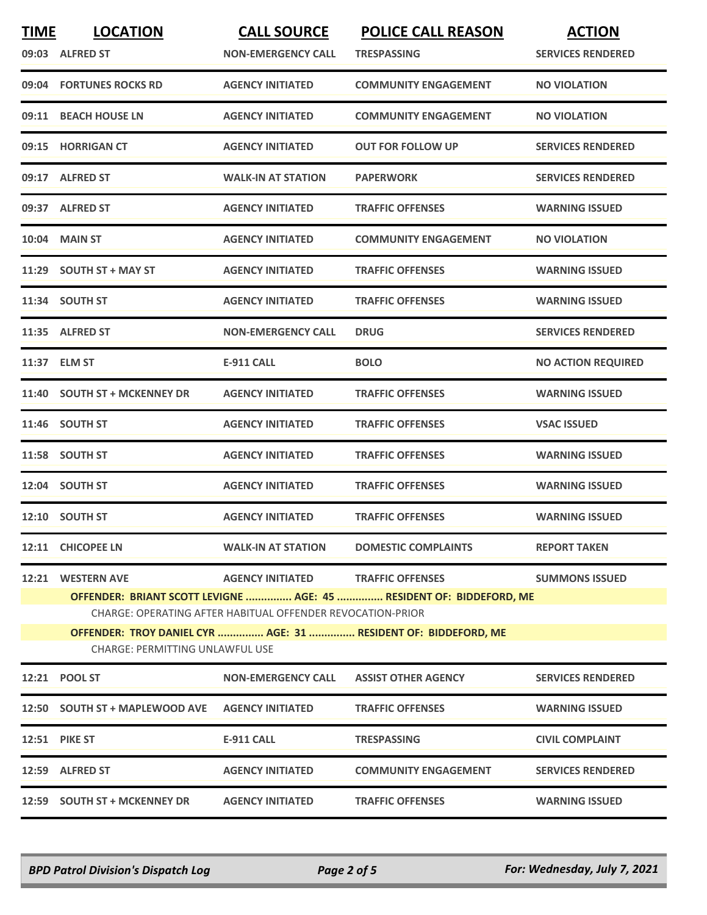| <b>TIME</b> | <b>LOCATION</b><br>09:03 ALFRED ST                                                                                                | <b>CALL SOURCE</b><br><b>NON-EMERGENCY CALL</b> | <b>POLICE CALL REASON</b><br><b>TRESPASSING</b>                | <b>ACTION</b><br><b>SERVICES RENDERED</b> |  |
|-------------|-----------------------------------------------------------------------------------------------------------------------------------|-------------------------------------------------|----------------------------------------------------------------|-------------------------------------------|--|
| 09:04       | <b>FORTUNES ROCKS RD</b>                                                                                                          | <b>AGENCY INITIATED</b>                         | <b>COMMUNITY ENGAGEMENT</b>                                    | <b>NO VIOLATION</b>                       |  |
| 09:11       | <b>BEACH HOUSE LN</b>                                                                                                             | <b>AGENCY INITIATED</b>                         | <b>COMMUNITY ENGAGEMENT</b>                                    | <b>NO VIOLATION</b>                       |  |
| 09:15       | <b>HORRIGAN CT</b>                                                                                                                | <b>AGENCY INITIATED</b>                         | <b>OUT FOR FOLLOW UP</b>                                       | <b>SERVICES RENDERED</b>                  |  |
|             | 09:17 ALFRED ST                                                                                                                   | <b>WALK-IN AT STATION</b>                       | <b>PAPERWORK</b>                                               | <b>SERVICES RENDERED</b>                  |  |
|             | 09:37 ALFRED ST                                                                                                                   | <b>AGENCY INITIATED</b>                         | <b>TRAFFIC OFFENSES</b>                                        | <b>WARNING ISSUED</b>                     |  |
| 10:04       | <b>MAIN ST</b>                                                                                                                    | <b>AGENCY INITIATED</b>                         | <b>COMMUNITY ENGAGEMENT</b>                                    | <b>NO VIOLATION</b>                       |  |
|             | 11:29 SOUTH ST + MAY ST                                                                                                           | <b>AGENCY INITIATED</b>                         | <b>TRAFFIC OFFENSES</b>                                        | <b>WARNING ISSUED</b>                     |  |
|             | 11:34 SOUTH ST                                                                                                                    | <b>AGENCY INITIATED</b>                         | <b>TRAFFIC OFFENSES</b>                                        | <b>WARNING ISSUED</b>                     |  |
|             | 11:35 ALFRED ST                                                                                                                   | <b>NON-EMERGENCY CALL</b>                       | <b>DRUG</b>                                                    | <b>SERVICES RENDERED</b>                  |  |
|             | 11:37 ELM ST                                                                                                                      | <b>E-911 CALL</b>                               | <b>BOLO</b>                                                    | <b>NO ACTION REQUIRED</b>                 |  |
| 11:40       | <b>SOUTH ST + MCKENNEY DR</b>                                                                                                     | <b>AGENCY INITIATED</b>                         | <b>TRAFFIC OFFENSES</b>                                        | <b>WARNING ISSUED</b>                     |  |
| 11:46       | <b>SOUTH ST</b>                                                                                                                   | <b>AGENCY INITIATED</b>                         | <b>TRAFFIC OFFENSES</b>                                        | <b>VSAC ISSUED</b>                        |  |
|             | 11:58 SOUTH ST                                                                                                                    | <b>AGENCY INITIATED</b>                         | <b>TRAFFIC OFFENSES</b>                                        | <b>WARNING ISSUED</b>                     |  |
|             | 12:04 SOUTH ST                                                                                                                    | <b>AGENCY INITIATED</b>                         | <b>TRAFFIC OFFENSES</b>                                        | <b>WARNING ISSUED</b>                     |  |
|             | 12:10 SOUTH ST                                                                                                                    | <b>AGENCY INITIATED</b>                         | <b>TRAFFIC OFFENSES</b>                                        | <b>WARNING ISSUED</b>                     |  |
|             | 12:11 CHICOPEE LN                                                                                                                 | <b>WALK-IN AT STATION</b>                       | <b>DOMESTIC COMPLAINTS</b>                                     | <b>REPORT TAKEN</b>                       |  |
| 12:21       | <b>WESTERN AVE</b>                                                                                                                | <b>AGENCY INITIATED</b>                         | <b>TRAFFIC OFFENSES</b>                                        | <b>SUMMONS ISSUED</b>                     |  |
|             | OFFENDER: BRIANT SCOTT LEVIGNE  AGE: 45  RESIDENT OF: BIDDEFORD, ME<br>CHARGE: OPERATING AFTER HABITUAL OFFENDER REVOCATION-PRIOR |                                                 |                                                                |                                           |  |
|             |                                                                                                                                   |                                                 | OFFENDER: TROY DANIEL CYR  AGE: 31  RESIDENT OF: BIDDEFORD, ME |                                           |  |
|             | <b>CHARGE: PERMITTING UNLAWFUL USE</b>                                                                                            |                                                 |                                                                |                                           |  |
|             | 12:21 POOL ST                                                                                                                     | <b>NON-EMERGENCY CALL</b>                       | <b>ASSIST OTHER AGENCY</b>                                     | <b>SERVICES RENDERED</b>                  |  |
|             | 12:50 SOUTH ST + MAPLEWOOD AVE                                                                                                    | <b>AGENCY INITIATED</b>                         | <b>TRAFFIC OFFENSES</b>                                        | <b>WARNING ISSUED</b>                     |  |
|             | <b>12:51 PIKE ST</b>                                                                                                              | <b>E-911 CALL</b>                               | <b>TRESPASSING</b>                                             | <b>CIVIL COMPLAINT</b>                    |  |
|             | 12:59 ALFRED ST                                                                                                                   | <b>AGENCY INITIATED</b>                         | <b>COMMUNITY ENGAGEMENT</b>                                    | <b>SERVICES RENDERED</b>                  |  |
|             | 12:59 SOUTH ST + MCKENNEY DR                                                                                                      | <b>AGENCY INITIATED</b>                         | <b>TRAFFIC OFFENSES</b>                                        | <b>WARNING ISSUED</b>                     |  |

*BPD Patrol Division's Dispatch Log Page 2 of 5 For: Wednesday, July 7, 2021*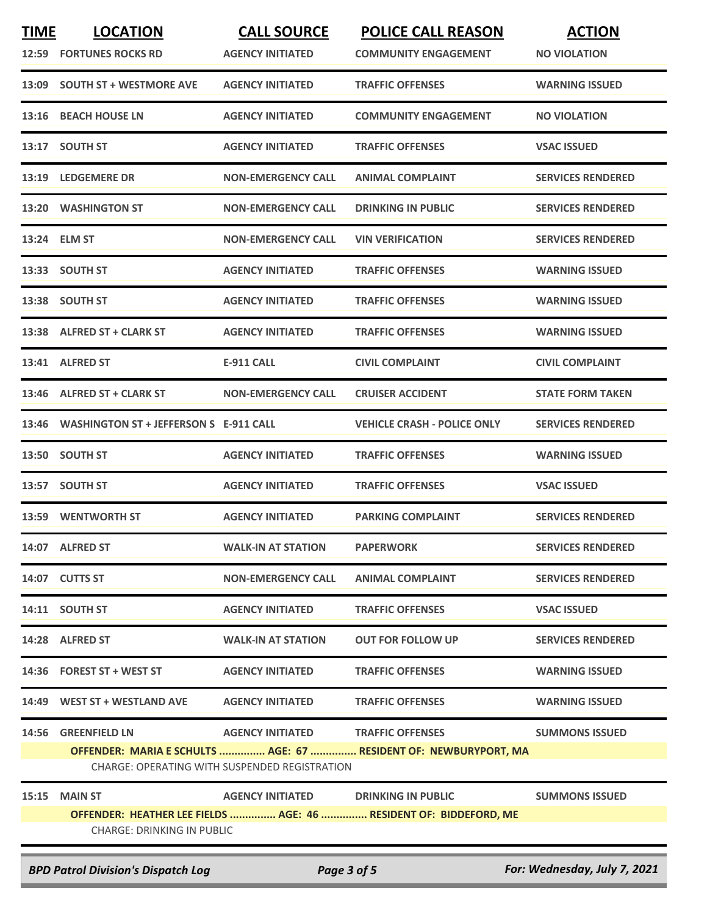| <b>TIME</b> | <b>LOCATION</b><br><b>12:59 FORTUNES ROCKS RD</b>  | <b>CALL SOURCE</b><br><b>AGENCY INITIATED</b>                            | <b>POLICE CALL REASON</b><br><b>COMMUNITY ENGAGEMENT</b>                                    | <b>ACTION</b><br><b>NO VIOLATION</b> |
|-------------|----------------------------------------------------|--------------------------------------------------------------------------|---------------------------------------------------------------------------------------------|--------------------------------------|
| 13:09       | <b>SOUTH ST + WESTMORE AVE</b>                     | <b>AGENCY INITIATED</b>                                                  | <b>TRAFFIC OFFENSES</b>                                                                     | <b>WARNING ISSUED</b>                |
| 13:16       | <b>BEACH HOUSE LN</b>                              | <b>AGENCY INITIATED</b>                                                  | <b>COMMUNITY ENGAGEMENT</b>                                                                 | <b>NO VIOLATION</b>                  |
| 13:17       | <b>SOUTH ST</b>                                    | <b>AGENCY INITIATED</b>                                                  | <b>TRAFFIC OFFENSES</b>                                                                     | <b>VSAC ISSUED</b>                   |
|             | 13:19 LEDGEMERE DR                                 | <b>NON-EMERGENCY CALL</b>                                                | <b>ANIMAL COMPLAINT</b>                                                                     | <b>SERVICES RENDERED</b>             |
| 13:20       | <b>WASHINGTON ST</b>                               | <b>NON-EMERGENCY CALL</b>                                                | <b>DRINKING IN PUBLIC</b>                                                                   | <b>SERVICES RENDERED</b>             |
|             | 13:24 ELM ST                                       | <b>NON-EMERGENCY CALL</b>                                                | <b>VIN VERIFICATION</b>                                                                     | <b>SERVICES RENDERED</b>             |
|             | 13:33 SOUTH ST                                     | <b>AGENCY INITIATED</b>                                                  | <b>TRAFFIC OFFENSES</b>                                                                     | <b>WARNING ISSUED</b>                |
|             | 13:38 SOUTH ST                                     | <b>AGENCY INITIATED</b>                                                  | <b>TRAFFIC OFFENSES</b>                                                                     | <b>WARNING ISSUED</b>                |
|             | 13:38 ALFRED ST + CLARK ST                         | <b>AGENCY INITIATED</b>                                                  | <b>TRAFFIC OFFENSES</b>                                                                     | <b>WARNING ISSUED</b>                |
| 13:41       | <b>ALFRED ST</b>                                   | <b>E-911 CALL</b>                                                        | <b>CIVIL COMPLAINT</b>                                                                      | <b>CIVIL COMPLAINT</b>               |
| 13:46       | <b>ALFRED ST + CLARK ST</b>                        | <b>NON-EMERGENCY CALL</b>                                                | <b>CRUISER ACCIDENT</b>                                                                     | <b>STATE FORM TAKEN</b>              |
| 13:46       | <b>WASHINGTON ST + JEFFERSON S E-911 CALL</b>      |                                                                          | <b>VEHICLE CRASH - POLICE ONLY</b>                                                          | <b>SERVICES RENDERED</b>             |
|             | 13:50 SOUTH ST                                     | <b>AGENCY INITIATED</b>                                                  | <b>TRAFFIC OFFENSES</b>                                                                     | <b>WARNING ISSUED</b>                |
| 13:57       | <b>SOUTH ST</b>                                    | <b>AGENCY INITIATED</b>                                                  | <b>TRAFFIC OFFENSES</b>                                                                     | <b>VSAC ISSUED</b>                   |
| 13:59       | <b>WENTWORTH ST</b>                                | <b>AGENCY INITIATED</b>                                                  | <b>PARKING COMPLAINT</b>                                                                    | <b>SERVICES RENDERED</b>             |
|             | 14:07 ALFRED ST                                    | <b>WALK-IN AT STATION</b>                                                | <b>PAPERWORK</b>                                                                            | <b>SERVICES RENDERED</b>             |
|             | 14:07 CUTTS ST                                     | <b>NON-EMERGENCY CALL</b>                                                | <b>ANIMAL COMPLAINT</b>                                                                     | <b>SERVICES RENDERED</b>             |
|             | 14:11 SOUTH ST                                     | <b>AGENCY INITIATED</b>                                                  | <b>TRAFFIC OFFENSES</b>                                                                     | <b>VSAC ISSUED</b>                   |
|             | 14:28 ALFRED ST                                    | <b>WALK-IN AT STATION</b>                                                | <b>OUT FOR FOLLOW UP</b>                                                                    | <b>SERVICES RENDERED</b>             |
|             | 14:36 FOREST ST + WEST ST                          | <b>AGENCY INITIATED</b>                                                  | <b>TRAFFIC OFFENSES</b>                                                                     | <b>WARNING ISSUED</b>                |
|             | 14:49 WEST ST + WESTLAND AVE                       | <b>AGENCY INITIATED</b>                                                  | <b>TRAFFIC OFFENSES</b>                                                                     | <b>WARNING ISSUED</b>                |
|             | 14:56 GREENFIELD LN                                | <b>AGENCY INITIATED</b><br>CHARGE: OPERATING WITH SUSPENDED REGISTRATION | <b>TRAFFIC OFFENSES</b><br>OFFENDER: MARIA E SCHULTS  AGE: 67  RESIDENT OF: NEWBURYPORT, MA | <b>SUMMONS ISSUED</b>                |
|             | 15:15 MAIN ST<br><b>CHARGE: DRINKING IN PUBLIC</b> | AGENCY INITIATED DRINKING IN PUBLIC                                      | OFFENDER: HEATHER LEE FIELDS  AGE: 46  RESIDENT OF: BIDDEFORD, ME                           | <b>SUMMONS ISSUED</b>                |
|             | <b>BPD Patrol Division's Dispatch Log</b>          | Page 3 of 5                                                              |                                                                                             | For: Wednesday, July 7, 2021         |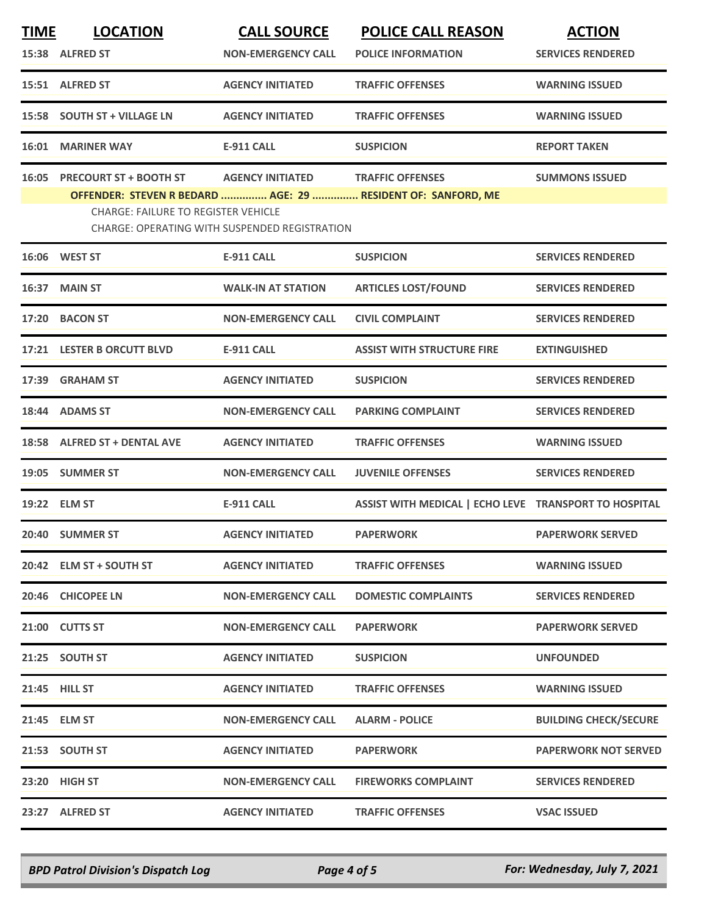|               |                                                                                                            |                                               |                                                       | <b>ACTION</b>                |
|---------------|------------------------------------------------------------------------------------------------------------|-----------------------------------------------|-------------------------------------------------------|------------------------------|
|               | 15:38 ALFRED ST                                                                                            | <b>NON-EMERGENCY CALL</b>                     | <b>POLICE INFORMATION</b>                             | <b>SERVICES RENDERED</b>     |
|               | 15:51 ALFRED ST                                                                                            | <b>AGENCY INITIATED</b>                       | <b>TRAFFIC OFFENSES</b>                               | <b>WARNING ISSUED</b>        |
| 15:58         | <b>SOUTH ST + VILLAGE LN</b>                                                                               | <b>AGENCY INITIATED</b>                       | <b>TRAFFIC OFFENSES</b>                               | <b>WARNING ISSUED</b>        |
| 16:01         | <b>MARINER WAY</b>                                                                                         | <b>E-911 CALL</b>                             | <b>SUSPICION</b>                                      | <b>REPORT TAKEN</b>          |
| 16:05         | <b>PRECOURT ST + BOOTH ST</b>                                                                              | <b>AGENCY INITIATED</b>                       | <b>TRAFFIC OFFENSES</b>                               | <b>SUMMONS ISSUED</b>        |
|               | OFFENDER: STEVEN R BEDARD  AGE: 29  RESIDENT OF: SANFORD, ME<br><b>CHARGE: FAILURE TO REGISTER VEHICLE</b> | CHARGE: OPERATING WITH SUSPENDED REGISTRATION |                                                       |                              |
|               | <b>16:06 WEST ST</b>                                                                                       | <b>E-911 CALL</b>                             | <b>SUSPICION</b>                                      | <b>SERVICES RENDERED</b>     |
| 16:37         | <b>MAIN ST</b>                                                                                             | <b>WALK-IN AT STATION</b>                     | <b>ARTICLES LOST/FOUND</b>                            | <b>SERVICES RENDERED</b>     |
|               | 17:20 BACON ST                                                                                             | <b>NON-EMERGENCY CALL</b>                     | <b>CIVIL COMPLAINT</b>                                | <b>SERVICES RENDERED</b>     |
|               | 17:21 LESTER B ORCUTT BLVD                                                                                 | <b>E-911 CALL</b>                             | <b>ASSIST WITH STRUCTURE FIRE</b>                     | <b>EXTINGUISHED</b>          |
| 17:39         | <b>GRAHAM ST</b>                                                                                           | <b>AGENCY INITIATED</b>                       | <b>SUSPICION</b>                                      | <b>SERVICES RENDERED</b>     |
| 18:44         | <b>ADAMS ST</b>                                                                                            | <b>NON-EMERGENCY CALL</b>                     | <b>PARKING COMPLAINT</b>                              | <b>SERVICES RENDERED</b>     |
|               | 18:58 ALFRED ST + DENTAL AVE                                                                               | <b>AGENCY INITIATED</b>                       | <b>TRAFFIC OFFENSES</b>                               | <b>WARNING ISSUED</b>        |
| 19:05         | <b>SUMMER ST</b>                                                                                           | <b>NON-EMERGENCY CALL</b>                     | <b>JUVENILE OFFENSES</b>                              | <b>SERVICES RENDERED</b>     |
| 19:22         | <b>ELM ST</b>                                                                                              | <b>E-911 CALL</b>                             | ASSIST WITH MEDICAL   ECHO LEVE TRANSPORT TO HOSPITAL |                              |
|               | 20:40 SUMMER ST                                                                                            | <b>AGENCY INITIATED</b>                       | <b>PAPERWORK</b>                                      | <b>PAPERWORK SERVED</b>      |
|               | 20:42 ELM ST + SOUTH ST                                                                                    | <b>AGENCY INITIATED</b>                       | <b>TRAFFIC OFFENSES</b>                               | <b>WARNING ISSUED</b>        |
|               | 20:46 CHICOPEE LN                                                                                          | <b>NON-EMERGENCY CALL</b>                     | <b>DOMESTIC COMPLAINTS</b>                            | <b>SERVICES RENDERED</b>     |
|               | 21:00 CUTTS ST                                                                                             | <b>NON-EMERGENCY CALL</b>                     | <b>PAPERWORK</b>                                      | <b>PAPERWORK SERVED</b>      |
|               | 21:25 SOUTH ST                                                                                             | <b>AGENCY INITIATED</b>                       | <b>SUSPICION</b>                                      | <b>UNFOUNDED</b>             |
| 21:45 HILL ST |                                                                                                            | <b>AGENCY INITIATED</b>                       | <b>TRAFFIC OFFENSES</b>                               | <b>WARNING ISSUED</b>        |
| 21:45 ELM ST  |                                                                                                            | <b>NON-EMERGENCY CALL</b>                     | <b>ALARM - POLICE</b>                                 | <b>BUILDING CHECK/SECURE</b> |
|               | 21:53 SOUTH ST                                                                                             | <b>AGENCY INITIATED</b>                       | <b>PAPERWORK</b>                                      | <b>PAPERWORK NOT SERVED</b>  |
|               | 23:20 HIGH ST                                                                                              | <b>NON-EMERGENCY CALL</b>                     | <b>FIREWORKS COMPLAINT</b>                            | <b>SERVICES RENDERED</b>     |
|               | 23:27 ALFRED ST                                                                                            | <b>AGENCY INITIATED</b>                       | <b>TRAFFIC OFFENSES</b>                               | <b>VSAC ISSUED</b>           |

*BPD Patrol Division's Dispatch Log Page 4 of 5 For: Wednesday, July 7, 2021*